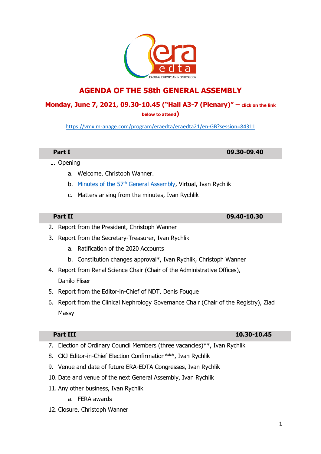# **AGENDA OF THE 58th GENERAL ASSEMBLY**

## **Monday, June 7, 2021, 09.30‐10.45 ("Hall A3-7 (Plenary)" – click on the link**

**below to attend)**

<https://vmx.m-anage.com/program/eraedta/eraedta21/en-GB?session=84311>

- 1. Opening
	- a. Welcome, Christoph Wanner.
	- b. Minutes of the 57<sup>th</sup> [General Assembly,](https://www.era-online.org/annualreport2020/Minutes_of_the_57th_GA.pdf) Virtual, Ivan Rychlik
	- c. Matters arising from the minutes, Ivan Rychlik

### **Part II 09.40-10.30**

- 2. Report from the President, Christoph Wanner
- 3. Report from the Secretary‐Treasurer, Ivan Rychlik
	- a. Ratification of the 2020 Accounts
	- b. Constitution changes approval\*, Ivan Rychlik, Christoph Wanner
- 4. Report from Renal Science Chair (Chair of the Administrative Offices), Danilo Fliser
- 5. Report from the Editor-in-Chief of NDT, Denis Fouque
- 6. Report from the Clinical Nephrology Governance Chair (Chair of the Registry), Ziad Massy

- 7. Election of Ordinary Council Members (three vacancies)\*\*, Ivan Rychlik
- 8. CKJ Editor-in-Chief Election Confirmation\*\*\*, Ivan Rychlik
- 9. Venue and date of future ERA-EDTA Congresses, Ivan Rychlik
- 10. Date and venue of the next General Assembly, Ivan Rychlik
- 11. Any other business, Ivan Rychlik
	- a. FERA awards
- 12. Closure, Christoph Wanner

## **Part III 10.30-10.45**

**Part I 09.30-09.40**

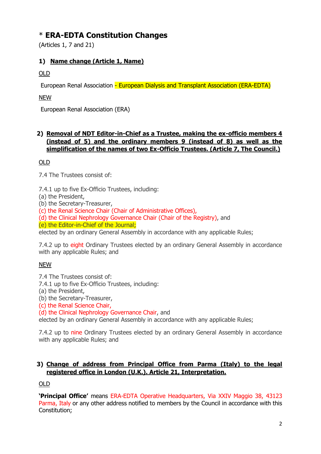# \* **ERA-EDTA Constitution Changes**

(Articles 1, 7 and 21)

# **1) Name change (Article 1, Name)**

OLD

European Renal Association - European Dialysis and Transplant Association (ERA-EDTA)

NEW

European Renal Association (ERA)

## **2) Removal of NDT Editor-in-Chief as a Trustee, making the ex-officio members 4 (instead of 5) and the ordinary members 9 (instead of 8) as well as the simplification of the names of two Ex-Officio Trustees. (Article 7, The Council.)**

## OLD

7.4 The Trustees consist of:

7.4.1 up to five Ex-Officio Trustees, including:

(a) the President,

(b) the Secretary-Treasurer,

(c) the Renal Science Chair (Chair of Administrative Offices),

(d) the Clinical Nephrology Governance Chair (Chair of the Registry), and

(e) the Editor-in-Chief of the Journal;

elected by an ordinary General Assembly in accordance with any applicable Rules;

7.4.2 up to eight Ordinary Trustees elected by an ordinary General Assembly in accordance with any applicable Rules; and

## NEW

7.4 The Trustees consist of:

7.4.1 up to five Ex-Officio Trustees, including:

(a) the President,

(b) the Secretary-Treasurer,

(c) the Renal Science Chair,

(d) the Clinical Nephrology Governance Chair, and

elected by an ordinary General Assembly in accordance with any applicable Rules;

7.4.2 up to nine Ordinary Trustees elected by an ordinary General Assembly in accordance with any applicable Rules: and

### **3) Change of address from Principal Office from Parma (Italy) to the legal registered office in London (U.K.). Article 21, Interpretation.**

OLD

**'Principal Office'** means ERA-EDTA Operative Headquarters, Via XXIV Maggio 38, 43123 Parma, Italy or any other address notified to members by the Council in accordance with this Constitution;